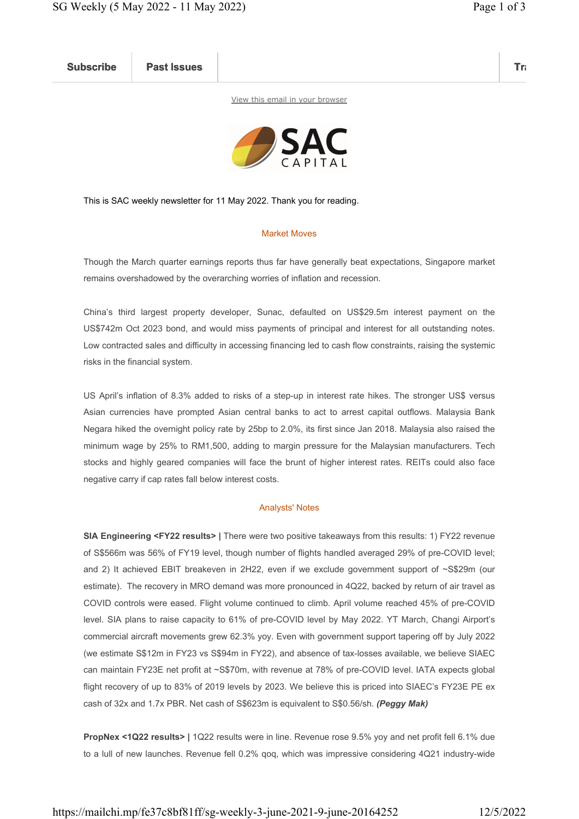Subscribe Past Issues Translate Past Issues Translate Past Issue Inc. 2014 and 2014 and 2014 and 2014 and 2014

View this email in your browser



This is SAC weekly newsletter for 11 May 2022. Thank you for reading.

## Market Moves

Though the March quarter earnings reports thus far have generally beat expectations, Singapore market remains overshadowed by the overarching worries of inflation and recession.

China's third largest property developer, Sunac, defaulted on US\$29.5m interest payment on the US\$742m Oct 2023 bond, and would miss payments of principal and interest for all outstanding notes. Low contracted sales and difficulty in accessing financing led to cash flow constraints, raising the systemic risks in the financial system.

US April's inflation of 8.3% added to risks of a step-up in interest rate hikes. The stronger US\$ versus Asian currencies have prompted Asian central banks to act to arrest capital outflows. Malaysia Bank Negara hiked the overnight policy rate by 25bp to 2.0%, its first since Jan 2018. Malaysia also raised the minimum wage by 25% to RM1,500, adding to margin pressure for the Malaysian manufacturers. Tech stocks and highly geared companies will face the brunt of higher interest rates. REITs could also face negative carry if cap rates fall below interest costs.

## Analysts' Notes

SIA Engineering <FY22 results> | There were two positive takeaways from this results: 1) FY22 revenue of S\$566m was 56% of FY19 level, though number of flights handled averaged 29% of pre-COVID level; and 2) It achieved EBIT breakeven in 2H22, even if we exclude government support of ~S\$29m (our estimate). The recovery in MRO demand was more pronounced in 4Q22, backed by return of air travel as COVID controls were eased. Flight volume continued to climb. April volume reached 45% of pre-COVID level. SIA plans to raise capacity to 61% of pre-COVID level by May 2022. YT March, Changi Airport's commercial aircraft movements grew 62.3% yoy. Even with government support tapering off by July 2022 (we estimate S\$12m in FY23 vs S\$94m in FY22), and absence of tax-losses available, we believe SIAEC can maintain FY23E net profit at ~S\$70m, with revenue at 78% of pre-COVID level. IATA expects global flight recovery of up to 83% of 2019 levels by 2023. We believe this is priced into SIAEC's FY23E PE ex cash of 32x and 1.7x PBR. Net cash of S\$623m is equivalent to S\$0.56/sh. (Peggy Mak)

PropNex <1Q22 results> | 1Q22 results were in line. Revenue rose 9.5% yoy and net profit fell 6.1% due to a lull of new launches. Revenue fell 0.2% qoq, which was impressive considering 4Q21 industry-wide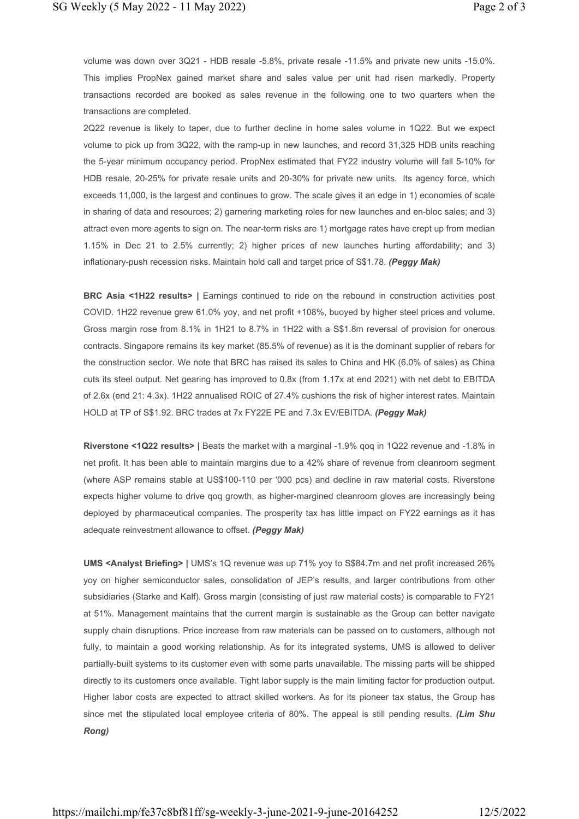volume was down over 3Q21 - HDB resale -5.8%, private resale -11.5% and private new units -15.0%. This implies PropNex gained market share and sales value per unit had risen markedly. Property transactions recorded are booked as sales revenue in the following one to two quarters when the transactions are completed.

2Q22 revenue is likely to taper, due to further decline in home sales volume in 1Q22. But we expect volume to pick up from 3Q22, with the ramp-up in new launches, and record 31,325 HDB units reaching the 5-year minimum occupancy period. PropNex estimated that FY22 industry volume will fall 5-10% for HDB resale, 20-25% for private resale units and 20-30% for private new units. Its agency force, which exceeds 11,000, is the largest and continues to grow. The scale gives it an edge in 1) economies of scale in sharing of data and resources; 2) garnering marketing roles for new launches and en-bloc sales; and 3) attract even more agents to sign on. The near-term risks are 1) mortgage rates have crept up from median 1.15% in Dec 21 to 2.5% currently; 2) higher prices of new launches hurting affordability; and 3) inflationary-push recession risks. Maintain hold call and target price of S\$1.78. (Peggy Mak)

BRC Asia <1H22 results> | Earnings continued to ride on the rebound in construction activities post COVID. 1H22 revenue grew 61.0% yoy, and net profit +108%, buoyed by higher steel prices and volume. Gross margin rose from 8.1% in 1H21 to 8.7% in 1H22 with a S\$1.8m reversal of provision for onerous contracts. Singapore remains its key market (85.5% of revenue) as it is the dominant supplier of rebars for the construction sector. We note that BRC has raised its sales to China and HK (6.0% of sales) as China cuts its steel output. Net gearing has improved to 0.8x (from 1.17x at end 2021) with net debt to EBITDA of 2.6x (end 21: 4.3x). 1H22 annualised ROIC of 27.4% cushions the risk of higher interest rates. Maintain HOLD at TP of S\$1.92. BRC trades at 7x FY22E PE and 7.3x EV/EBITDA. (Peggy Mak)

Riverstone <1Q22 results> | Beats the market with a marginal -1.9% qoq in 1Q22 revenue and -1.8% in net profit. It has been able to maintain margins due to a 42% share of revenue from cleanroom segment (where ASP remains stable at US\$100-110 per '000 pcs) and decline in raw material costs. Riverstone expects higher volume to drive qoq growth, as higher-margined cleanroom gloves are increasingly being deployed by pharmaceutical companies. The prosperity tax has little impact on FY22 earnings as it has adequate reinvestment allowance to offset. (Peggy Mak)

UMS <Analyst Briefing> | UMS's 1Q revenue was up 71% yoy to S\$84.7m and net profit increased 26% yoy on higher semiconductor sales, consolidation of JEP's results, and larger contributions from other subsidiaries (Starke and Kalf). Gross margin (consisting of just raw material costs) is comparable to FY21 at 51%. Management maintains that the current margin is sustainable as the Group can better navigate supply chain disruptions. Price increase from raw materials can be passed on to customers, although not fully, to maintain a good working relationship. As for its integrated systems, UMS is allowed to deliver partially-built systems to its customer even with some parts unavailable. The missing parts will be shipped directly to its customers once available. Tight labor supply is the main limiting factor for production output. Higher labor costs are expected to attract skilled workers. As for its pioneer tax status, the Group has since met the stipulated local employee criteria of 80%. The appeal is still pending results. (Lim Shu Rong)